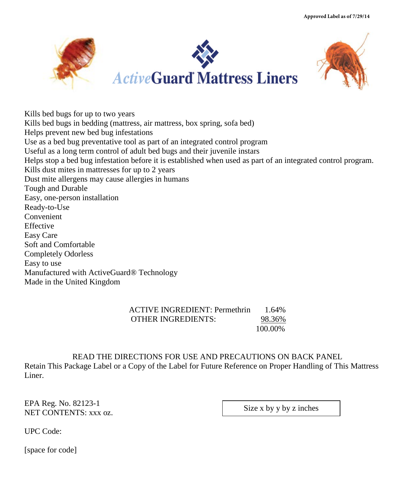**Approved Label as of 7/29/14**



Kills bed bugs for up to two years Kills bed bugs in bedding (mattress, air mattress, box spring, sofa bed) Helps prevent new bed bug infestations Use as a bed bug preventative tool as part of an integrated control program Useful as a long term control of adult bed bugs and their juvenile instars Helps stop a bed bug infestation before it is established when used as part of an integrated control program. Kills dust mites in mattresses for up to 2 years Dust mite allergens may cause allergies in humans Tough and Durable Easy, one-person installation Ready-to-Use Convenient Effective Easy Care Soft and Comfortable Completely Odorless Easy to use Manufactured with ActiveGuard® Technology Made in the United Kingdom

> ACTIVE INGREDIENT: Permethrin 1.64% OTHER INGREDIENTS: 98.36% 100.00%

READ THE DIRECTIONS FOR USE AND PRECAUTIONS ON BACK PANEL Retain This Package Label or a Copy of the Label for Future Reference on Proper Handling of This Mattress Liner.

EPA Reg. No. 82123-1 NET CONTENTS: xxx oz.

Size x by y by z inches

UPC Code:

[space for code]